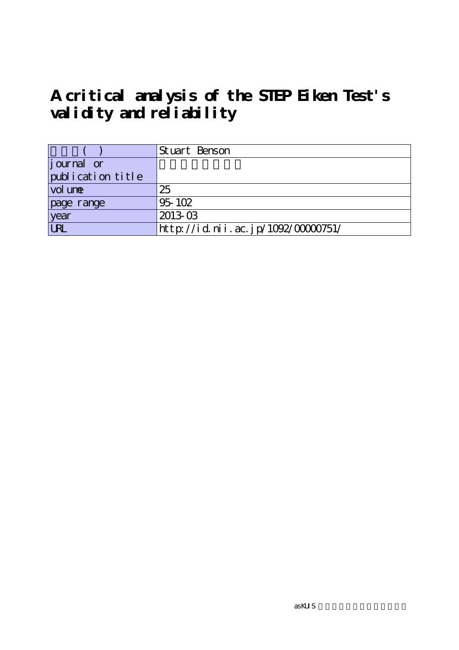# **A critical analysis of the STEP Eiken Test's validity and reliability**

|                   | Stuart Benson                      |
|-------------------|------------------------------------|
| journal or        |                                    |
| publication title |                                    |
| vol une           | 25                                 |
| page range        | 95-102                             |
| year              | $2013-03$                          |
| URL               | http://id.nii.ac.jp/1092/00000751/ |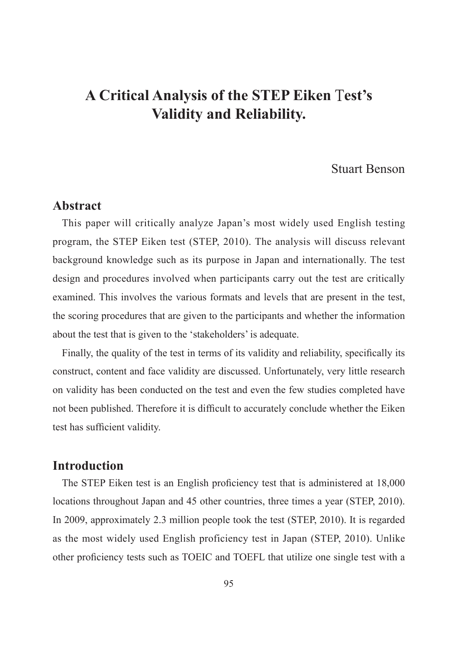# **A Critical Analysis of the STEP Eiken** T**est's Validity and Reliability.**

# Stuart Benson

#### **Abstract**

This paper will critically analyze Japan's most widely used English testing program, the STEP Eiken test (STEP, 2010). The analysis will discuss relevant background knowledge such as its purpose in Japan and internationally. The test design and procedures involved when participants carry out the test are critically examined. This involves the various formats and levels that are present in the test, the scoring procedures that are given to the participants and whether the information about the test that is given to the 'stakeholders' is adequate.

Finally, the quality of the test in terms of its validity and reliability, specifically its construct, content and face validity are discussed. Unfortunately, very little research on validity has been conducted on the test and even the few studies completed have not been published. Therefore it is difficult to accurately conclude whether the Eiken test has sufficient validity.

#### **Introduction**

The STEP Eiken test is an English proficiency test that is administered at 18,000 locations throughout Japan and 45 other countries, three times a year (STEP, 2010). In 2009, approximately 2.3 million people took the test (STEP, 2010). It is regarded as the most widely used English proficiency test in Japan (STEP, 2010). Unlike other proficiency tests such as TOEIC and TOEFL that utilize one single test with a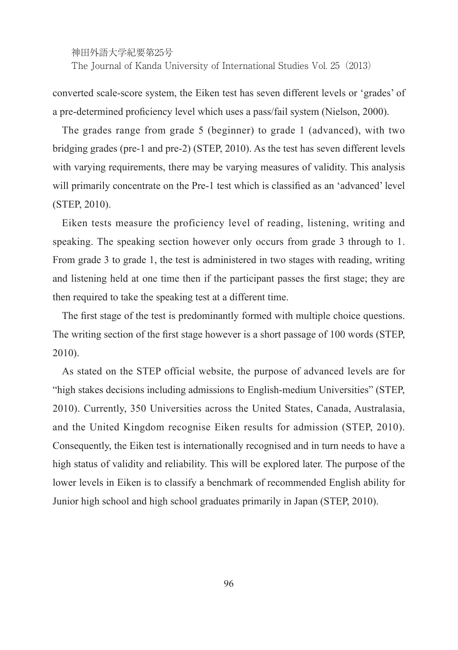神田外語大学紀要第25号 The Journal of Kanda University of International Studies Vol. 25(2013)

converted scale-score system, the Eiken test has seven different levels or 'grades' of a pre-determined proficiency level which uses a pass/fail system (Nielson, 2000).

The grades range from grade 5 (beginner) to grade 1 (advanced), with two bridging grades (pre-1 and pre-2) (STEP, 2010). As the test has seven different levels with varying requirements, there may be varying measures of validity. This analysis will primarily concentrate on the Pre-1 test which is classified as an 'advanced' level (STEP, 2010).

Eiken tests measure the proficiency level of reading, listening, writing and speaking. The speaking section however only occurs from grade 3 through to 1. From grade 3 to grade 1, the test is administered in two stages with reading, writing and listening held at one time then if the participant passes the first stage; they are then required to take the speaking test at a different time.

The first stage of the test is predominantly formed with multiple choice questions. The writing section of the first stage however is a short passage of 100 words (STEP, 2010).

As stated on the STEP official website, the purpose of advanced levels are for "high stakes decisions including admissions to English-medium Universities" (STEP, 2010). Currently, 350 Universities across the United States, Canada, Australasia, and the United Kingdom recognise Eiken results for admission (STEP, 2010). Consequently, the Eiken test is internationally recognised and in turn needs to have a high status of validity and reliability. This will be explored later. The purpose of the lower levels in Eiken is to classify a benchmark of recommended English ability for Junior high school and high school graduates primarily in Japan (STEP, 2010).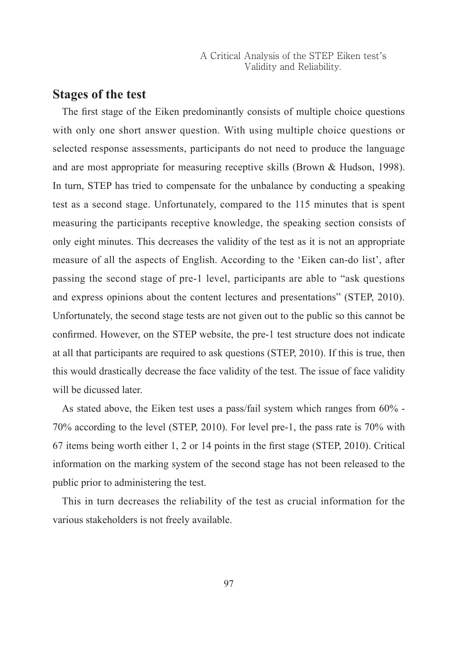#### **Stages of the test**

The first stage of the Eiken predominantly consists of multiple choice questions with only one short answer question. With using multiple choice questions or selected response assessments, participants do not need to produce the language and are most appropriate for measuring receptive skills (Brown & Hudson, 1998). In turn, STEP has tried to compensate for the unbalance by conducting a speaking test as a second stage. Unfortunately, compared to the 115 minutes that is spent measuring the participants receptive knowledge, the speaking section consists of only eight minutes. This decreases the validity of the test as it is not an appropriate measure of all the aspects of English. According to the 'Eiken can-do list', after passing the second stage of pre-1 level, participants are able to "ask questions and express opinions about the content lectures and presentations" (STEP, 2010). Unfortunately, the second stage tests are not given out to the public so this cannot be confirmed. However, on the STEP website, the pre-1 test structure does not indicate at all that participants are required to ask questions (STEP, 2010). If this is true, then this would drastically decrease the face validity of the test. The issue of face validity will be dicussed later.

As stated above, the Eiken test uses a pass/fail system which ranges from 60% - 70% according to the level (STEP, 2010). For level pre-1, the pass rate is 70% with 67 items being worth either 1, 2 or 14 points in the first stage (STEP, 2010). Critical information on the marking system of the second stage has not been released to the public prior to administering the test.

This in turn decreases the reliability of the test as crucial information for the various stakeholders is not freely available.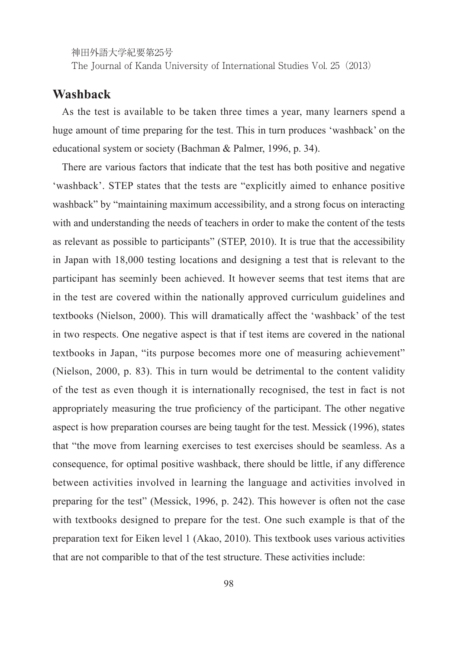神田外語大学紀要第25号

The Journal of Kanda University of International Studies Vol. 25(2013)

### **Washback**

As the test is available to be taken three times a year, many learners spend a huge amount of time preparing for the test. This in turn produces 'washback' on the educational system or society (Bachman & Palmer, 1996, p. 34).

There are various factors that indicate that the test has both positive and negative 'washback'. STEP states that the tests are "explicitly aimed to enhance positive washback" by "maintaining maximum accessibility, and a strong focus on interacting with and understanding the needs of teachers in order to make the content of the tests as relevant as possible to participants" (STEP, 2010). It is true that the accessibility in Japan with 18,000 testing locations and designing a test that is relevant to the participant has seeminly been achieved. It however seems that test items that are in the test are covered within the nationally approved curriculum guidelines and textbooks (Nielson, 2000). This will dramatically affect the 'washback' of the test in two respects. One negative aspect is that if test items are covered in the national textbooks in Japan, "its purpose becomes more one of measuring achievement" (Nielson, 2000, p. 83). This in turn would be detrimental to the content validity of the test as even though it is internationally recognised, the test in fact is not appropriately measuring the true proficiency of the participant. The other negative aspect is how preparation courses are being taught for the test. Messick (1996), states that "the move from learning exercises to test exercises should be seamless. As a consequence, for optimal positive washback, there should be little, if any difference between activities involved in learning the language and activities involved in preparing for the test" (Messick, 1996, p. 242). This however is often not the case with textbooks designed to prepare for the test. One such example is that of the preparation text for Eiken level 1 (Akao, 2010). This textbook uses various activities that are not comparible to that of the test structure. These activities include: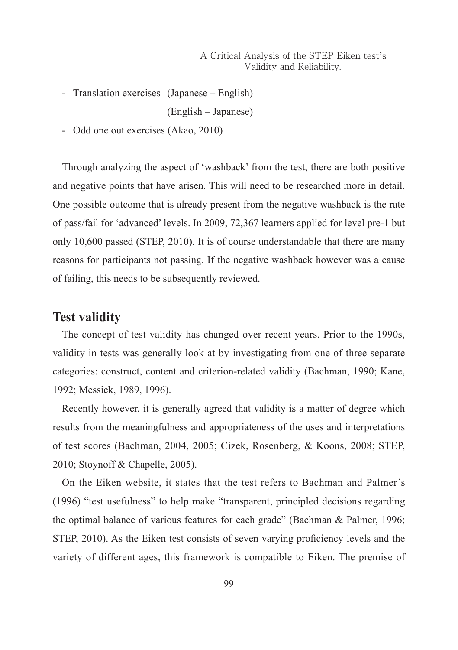- Translation exercises (Japanese – English)

(English – Japanese)

- Odd one out exercises (Akao, 2010)

Through analyzing the aspect of 'washback' from the test, there are both positive and negative points that have arisen. This will need to be researched more in detail. One possible outcome that is already present from the negative washback is the rate of pass/fail for 'advanced' levels. In 2009, 72,367 learners applied for level pre-1 but only 10,600 passed (STEP, 2010). It is of course understandable that there are many reasons for participants not passing. If the negative washback however was a cause of failing, this needs to be subsequently reviewed.

#### **Test validity**

The concept of test validity has changed over recent years. Prior to the 1990s, validity in tests was generally look at by investigating from one of three separate categories: construct, content and criterion-related validity (Bachman, 1990; Kane, 1992; Messick, 1989, 1996).

Recently however, it is generally agreed that validity is a matter of degree which results from the meaningfulness and appropriateness of the uses and interpretations of test scores (Bachman, 2004, 2005; Cizek, Rosenberg, & Koons, 2008; STEP, 2010; Stoynoff & Chapelle, 2005).

On the Eiken website, it states that the test refers to Bachman and Palmer's (1996) "test usefulness" to help make "transparent, principled decisions regarding the optimal balance of various features for each grade" (Bachman & Palmer, 1996; STEP, 2010). As the Eiken test consists of seven varying proficiency levels and the variety of different ages, this framework is compatible to Eiken. The premise of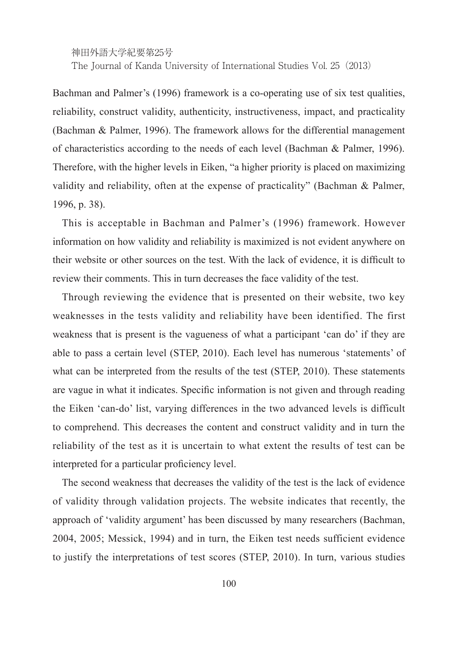神田外語大学紀要第25号 The Journal of Kanda University of International Studies Vol. 25(2013)

Bachman and Palmer's (1996) framework is a co-operating use of six test qualities, reliability, construct validity, authenticity, instructiveness, impact, and practicality (Bachman & Palmer, 1996). The framework allows for the differential management of characteristics according to the needs of each level (Bachman & Palmer, 1996). Therefore, with the higher levels in Eiken, "a higher priority is placed on maximizing validity and reliability, often at the expense of practicality" (Bachman & Palmer, 1996, p. 38).

This is acceptable in Bachman and Palmer's (1996) framework. However information on how validity and reliability is maximized is not evident anywhere on their website or other sources on the test. With the lack of evidence, it is difficult to review their comments. This in turn decreases the face validity of the test.

Through reviewing the evidence that is presented on their website, two key weaknesses in the tests validity and reliability have been identified. The first weakness that is present is the vagueness of what a participant 'can do' if they are able to pass a certain level (STEP, 2010). Each level has numerous 'statements' of what can be interpreted from the results of the test (STEP, 2010). These statements are vague in what it indicates. Specific information is not given and through reading the Eiken 'can-do' list, varying differences in the two advanced levels is difficult to comprehend. This decreases the content and construct validity and in turn the reliability of the test as it is uncertain to what extent the results of test can be interpreted for a particular proficiency level.

The second weakness that decreases the validity of the test is the lack of evidence of validity through validation projects. The website indicates that recently, the approach of 'validity argument' has been discussed by many researchers (Bachman, 2004, 2005; Messick, 1994) and in turn, the Eiken test needs sufficient evidence to justify the interpretations of test scores (STEP, 2010). In turn, various studies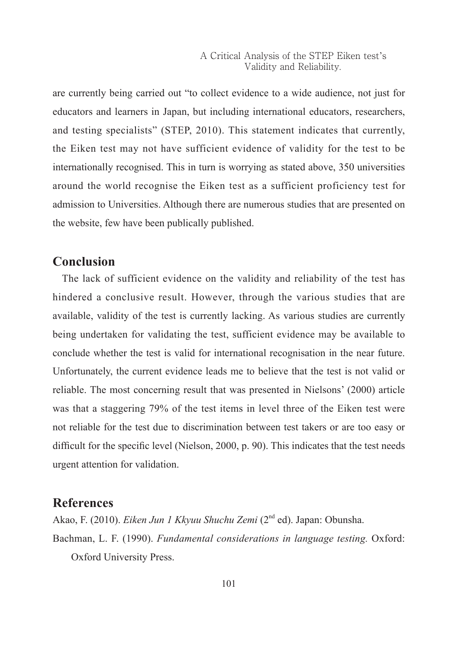are currently being carried out "to collect evidence to a wide audience, not just for educators and learners in Japan, but including international educators, researchers, and testing specialists" (STEP, 2010). This statement indicates that currently, the Eiken test may not have sufficient evidence of validity for the test to be internationally recognised. This in turn is worrying as stated above, 350 universities around the world recognise the Eiken test as a sufficient proficiency test for admission to Universities. Although there are numerous studies that are presented on the website, few have been publically published.

# **Conclusion**

The lack of sufficient evidence on the validity and reliability of the test has hindered a conclusive result. However, through the various studies that are available, validity of the test is currently lacking. As various studies are currently being undertaken for validating the test, sufficient evidence may be available to conclude whether the test is valid for international recognisation in the near future. Unfortunately, the current evidence leads me to believe that the test is not valid or reliable. The most concerning result that was presented in Nielsons' (2000) article was that a staggering 79% of the test items in level three of the Eiken test were not reliable for the test due to discrimination between test takers or are too easy or difficult for the specific level (Nielson, 2000, p. 90). This indicates that the test needs urgent attention for validation.

# **References**

Akao, F. (2010). *Eiken Jun 1 Kkyuu Shuchu Zemi* (2nd ed). Japan: Obunsha. Bachman, L. F. (1990). *Fundamental considerations in language testing.* Oxford:

Oxford University Press.